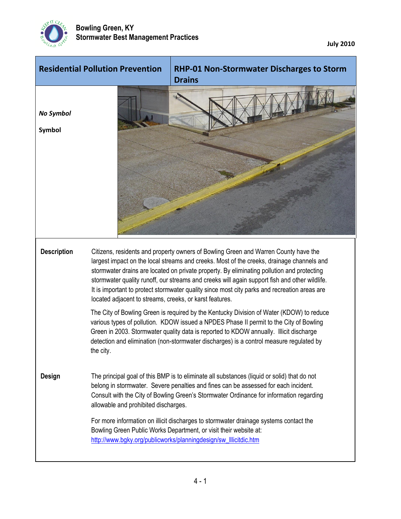

**July 2010**

|                     | <b>Residential Pollution Prevention</b>                 | <b>RHP-01 Non-Stormwater Discharges to Storm</b><br><b>Drains</b>                                                                                                                                                                                                                                                                                                                                                                                                               |
|---------------------|---------------------------------------------------------|---------------------------------------------------------------------------------------------------------------------------------------------------------------------------------------------------------------------------------------------------------------------------------------------------------------------------------------------------------------------------------------------------------------------------------------------------------------------------------|
| No Symbol<br>Symbol |                                                         |                                                                                                                                                                                                                                                                                                                                                                                                                                                                                 |
| <b>Description</b>  | located adjacent to streams, creeks, or karst features. | Citizens, residents and property owners of Bowling Green and Warren County have the<br>largest impact on the local streams and creeks. Most of the creeks, drainage channels and<br>stormwater drains are located on private property. By eliminating pollution and protecting<br>stormwater quality runoff, our streams and creeks will again support fish and other wildlife.<br>It is important to protect stormwater quality since most city parks and recreation areas are |
|                     | the city.                                               | The City of Bowling Green is required by the Kentucky Division of Water (KDOW) to reduce<br>various types of pollution. KDOW issued a NPDES Phase II permit to the City of Bowling<br>Green in 2003. Stormwater quality data is reported to KDOW annually. Illicit discharge<br>detection and elimination (non-stormwater discharges) is a control measure regulated by                                                                                                         |
| <b>Design</b>       | allowable and prohibited discharges.                    | The principal goal of this BMP is to eliminate all substances (liquid or solid) that do not<br>belong in stormwater. Severe penalties and fines can be assessed for each incident.<br>Consult with the City of Bowling Green's Stormwater Ordinance for information regarding<br>For more information on illicit discharges to stormwater drainage systems contact the<br>Bowling Green Public Works Department, or visit their website at:                                     |
|                     |                                                         | http://www.bgky.org/publicworks/planningdesign/sw_Illicitdic.htm                                                                                                                                                                                                                                                                                                                                                                                                                |

<u> 1989 - Johann Stoff, amerikansk politiker (d. 1989)</u>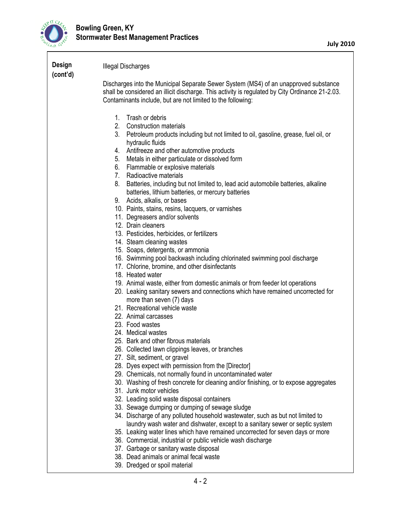

| Design<br>(cont'd) | <b>Illegal Discharges</b>                                                                                                                                                                                                                                                                           |  |  |
|--------------------|-----------------------------------------------------------------------------------------------------------------------------------------------------------------------------------------------------------------------------------------------------------------------------------------------------|--|--|
|                    | Discharges into the Municipal Separate Sewer System (MS4) of an unapproved substance<br>shall be considered an illicit discharge. This activity is regulated by City Ordinance 21-2.03.<br>Contaminants include, but are not limited to the following:                                              |  |  |
|                    | 1. Trash or debris<br>2.<br>Construction materials<br>3. Petroleum products including but not limited to oil, gasoline, grease, fuel oil, or<br>hydraulic fluids                                                                                                                                    |  |  |
|                    | 4. Antifreeze and other automotive products<br>5. Metals in either particulate or dissolved form<br>6. Flammable or explosive materials<br>7. Radioactive materials                                                                                                                                 |  |  |
|                    | 8. Batteries, including but not limited to, lead acid automobile batteries, alkaline<br>batteries, lithium batteries, or mercury batteries<br>9. Acids, alkalis, or bases                                                                                                                           |  |  |
|                    | 10. Paints, stains, resins, lacquers, or varnishes<br>11. Degreasers and/or solvents<br>12. Drain cleaners<br>13. Pesticides, herbicides, or fertilizers                                                                                                                                            |  |  |
|                    | 14. Steam cleaning wastes<br>15. Soaps, detergents, or ammonia<br>16. Swimming pool backwash including chlorinated swimming pool discharge                                                                                                                                                          |  |  |
|                    | 17. Chlorine, bromine, and other disinfectants<br>18. Heated water<br>19. Animal waste, either from domestic animals or from feeder lot operations                                                                                                                                                  |  |  |
|                    | 20. Leaking sanitary sewers and connections which have remained uncorrected for<br>more than seven (7) days<br>21. Recreational vehicle waste<br>22. Animal carcasses                                                                                                                               |  |  |
|                    | 23. Food wastes<br>24. Medical wastes<br>25. Bark and other fibrous materials                                                                                                                                                                                                                       |  |  |
|                    | 26. Collected lawn clippings leaves, or branches<br>27. Silt, sediment, or gravel<br>28. Dyes expect with permission from the [Director]<br>29. Chemicals, not normally found in uncontaminated water                                                                                               |  |  |
|                    | 30. Washing of fresh concrete for cleaning and/or finishing, or to expose aggregates<br>31. Junk motor vehicles<br>32. Leading solid waste disposal containers                                                                                                                                      |  |  |
|                    | 33. Sewage dumping or dumping of sewage sludge<br>34. Discharge of any polluted household wastewater, such as but not limited to<br>laundry wash water and dishwater, except to a sanitary sewer or septic system<br>35. Leaking water lines which have remained uncorrected for seven days or more |  |  |
|                    | 36. Commercial, industrial or public vehicle wash discharge<br>37. Garbage or sanitary waste disposal<br>38. Dead animals or animal fecal waste                                                                                                                                                     |  |  |
|                    | 39. Dredged or spoil material                                                                                                                                                                                                                                                                       |  |  |

**July 2010**